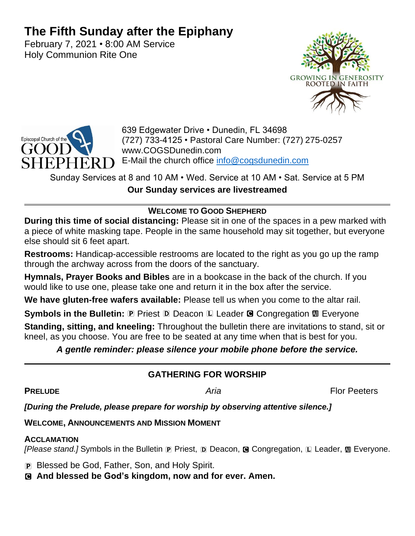# **The Fifth Sunday after the Epiphany**

February 7, 2021 • 8:00 AM Service Holy Communion Rite One





639 Edgewater Drive • Dunedin, FL 34698 (727) 733-4125 • Pastoral Care Number: (727) 275-0257 www.COGSDunedin.com E-Mail the church office [info@cogsdunedin.com](mailto:info@cogsdunedin.com)

Sunday Services at 8 and 10 AM • Wed. Service at 10 AM • Sat. Service at 5 PM **Our Sunday services are livestreamed**

# **WELCOME TO GOOD SHEPHERD**

**During this time of social distancing:** Please sit in one of the spaces in a pew marked with a piece of white masking tape. People in the same household may sit together, but everyone else should sit 6 feet apart.

**Restrooms:** Handicap-accessible restrooms are located to the right as you go up the ramp through the archway across from the doors of the sanctuary.

**Hymnals, Prayer Books and Bibles** are in a bookcase in the back of the church. If you would like to use one, please take one and return it in the box after the service.

**We have gluten-free wafers available:** Please tell us when you come to the altar rail.

**Symbols in the Bulletin: P** Priest **D** Deacon **L** Leader **G** Congregation **M** Everyone

**Standing, sitting, and kneeling:** Throughout the bulletin there are invitations to stand, sit or kneel, as you choose. You are free to be seated at any time when that is best for you.

# *A gentle reminder: please silence your mobile phone before the service.*

# **GATHERING FOR WORSHIP**

#### **PRELUDE** *Aria* Flor Peeters

*[During the Prelude, please prepare for worship by observing attentive silence.]*

**WELCOME, ANNOUNCEMENTS AND MISSION MOMENT**

## **ACCLAMATION**

*[Please stand.]* Symbols in the Bulletin **P** Priest, **D** Deacon, **G** Congregation, **L** Leader, **M** Everyone.

P Blessed be God, Father, Son, and Holy Spirit.

C **And blessed be God's kingdom, now and for ever. Amen.**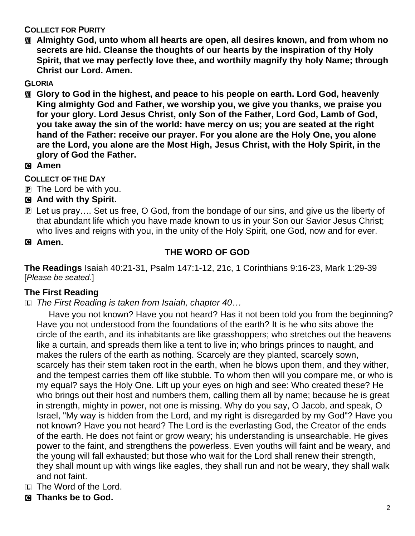#### **COLLECT FOR PURITY**

a **Almighty God, unto whom all hearts are open, all desires known, and from whom no secrets are hid. Cleanse the thoughts of our hearts by the inspiration of thy Holy Spirit, that we may perfectly love thee, and worthily magnify thy holy Name; through Christ our Lord. Amen.**

#### **GLORIA**

a **Glory to God in the highest, and peace to his people on earth. Lord God, heavenly King almighty God and Father, we worship you, we give you thanks, we praise you for your glory. Lord Jesus Christ, only Son of the Father, Lord God, Lamb of God, you take away the sin of the world: have mercy on us; you are seated at the right hand of the Father: receive our prayer. For you alone are the Holy One, you alone are the Lord, you alone are the Most High, Jesus Christ, with the Holy Spirit, in the glory of God the Father.** 

#### C **Amen**

**COLLECT OF THE DAY**

- $\overline{P}$  The Lord be with you.
- C **And with thy Spirit.**
- P Let us pray…. Set us free, O God, from the bondage of our sins, and give us the liberty of that abundant life which you have made known to us in your Son our Savior Jesus Christ; who lives and reigns with you, in the unity of the Holy Spirit, one God, now and for ever.
- C **Amen.**

# **THE WORD OF GOD**

**The Readings** Isaiah 40:21-31, Psalm 147:1-12, 21c, 1 Corinthians 9:16-23, Mark 1:29-39 [*Please be seated.*]

#### **The First Reading**

L *The First Reading is taken from Isaiah, chapter 40…*

Have you not known? Have you not heard? Has it not been told you from the beginning? Have you not understood from the foundations of the earth? It is he who sits above the circle of the earth, and its inhabitants are like grasshoppers; who stretches out the heavens like a curtain, and spreads them like a tent to live in; who brings princes to naught, and makes the rulers of the earth as nothing. Scarcely are they planted, scarcely sown, scarcely has their stem taken root in the earth, when he blows upon them, and they wither, and the tempest carries them off like stubble. To whom then will you compare me, or who is my equal? says the Holy One. Lift up your eyes on high and see: Who created these? He who brings out their host and numbers them, calling them all by name; because he is great in strength, mighty in power, not one is missing. Why do you say, O Jacob, and speak, O Israel, "My way is hidden from the Lord, and my right is disregarded by my God"? Have you not known? Have you not heard? The Lord is the everlasting God, the Creator of the ends of the earth. He does not faint or grow weary; his understanding is unsearchable. He gives power to the faint, and strengthens the powerless. Even youths will faint and be weary, and the young will fall exhausted; but those who wait for the Lord shall renew their strength, they shall mount up with wings like eagles, they shall run and not be weary, they shall walk and not faint.

- $\Box$  The Word of the Lord.
- C **Thanks be to God.**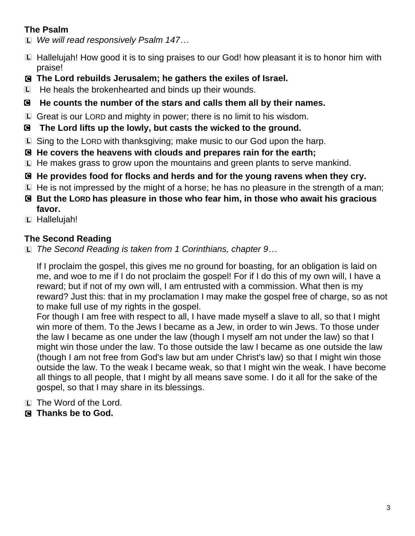# **The Psalm**

- L *We will read responsively Psalm 147…*
- L Hallelujah! How good it is to sing praises to our God! how pleasant it is to honor him with praise!
- C **The Lord rebuilds Jerusalem; he gathers the exiles of Israel.**
- L He heals the brokenhearted and binds up their wounds.
- C **He counts the number of the stars and calls them all by their names.**
- L Great is our LORD and mighty in power; there is no limit to his wisdom.
- C **The Lord lifts up the lowly, but casts the wicked to the ground.**
- L Sing to the LORD with thanksgiving; make music to our God upon the harp.
- C **He covers the heavens with clouds and prepares rain for the earth;**
- L He makes grass to grow upon the mountains and green plants to serve mankind.
- C **He provides food for flocks and herds and for the young ravens when they cry.**
- L He is not impressed by the might of a horse; he has no pleasure in the strength of a man;
- C **But the LORD has pleasure in those who fear him, in those who await his gracious favor.**
- L Hallelujah!

# **The Second Reading**

L *The Second Reading is taken from 1 Corinthians, chapter 9…*

If I proclaim the gospel, this gives me no ground for boasting, for an obligation is laid on me, and woe to me if I do not proclaim the gospel! For if I do this of my own will, I have a reward; but if not of my own will, I am entrusted with a commission. What then is my reward? Just this: that in my proclamation I may make the gospel free of charge, so as not to make full use of my rights in the gospel.

For though I am free with respect to all, I have made myself a slave to all, so that I might win more of them. To the Jews I became as a Jew, in order to win Jews. To those under the law I became as one under the law (though I myself am not under the law) so that I might win those under the law. To those outside the law I became as one outside the law (though I am not free from God's law but am under Christ's law) so that I might win those outside the law. To the weak I became weak, so that I might win the weak. I have become all things to all people, that I might by all means save some. I do it all for the sake of the gospel, so that I may share in its blessings.

- L The Word of the Lord.
- C **Thanks be to God.**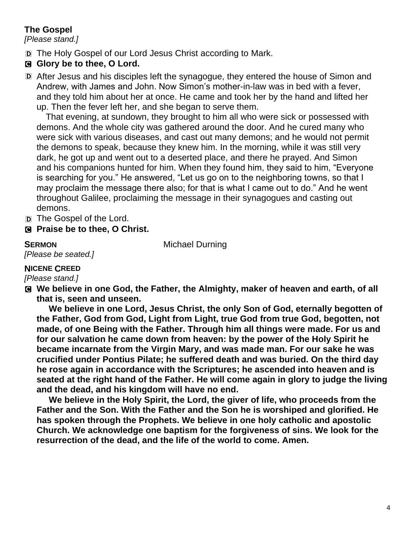# **The Gospel**

*[Please stand.]*

- D The Holy Gospel of our Lord Jesus Christ according to Mark.
- **G** Glory be to thee, O Lord.
- D After Jesus and his disciples left the synagogue, they entered the house of Simon and Andrew, with James and John. Now Simon's mother-in-law was in bed with a fever, and they told him about her at once. He came and took her by the hand and lifted her up. Then the fever left her, and she began to serve them.

That evening, at sundown, they brought to him all who were sick or possessed with demons. And the whole city was gathered around the door. And he cured many who were sick with various diseases, and cast out many demons; and he would not permit the demons to speak, because they knew him. In the morning, while it was still very dark, he got up and went out to a deserted place, and there he prayed. And Simon and his companions hunted for him. When they found him, they said to him, "Everyone is searching for you." He answered, "Let us go on to the neighboring towns, so that I may proclaim the message there also; for that is what I came out to do." And he went throughout Galilee, proclaiming the message in their synagogues and casting out demons.

D The Gospel of the Lord.

C **Praise be to thee, O Christ.**

*[Please be seated.]*

**SERMON** Michael Durning

# **NICENE CREED**

*[Please stand.]*

C **We believe in one God, the Father, the Almighty, maker of heaven and earth, of all that is, seen and unseen.** 

**We believe in one Lord, Jesus Christ, the only Son of God, eternally begotten of the Father, God from God, Light from Light, true God from true God, begotten, not made, of one Being with the Father. Through him all things were made. For us and for our salvation he came down from heaven: by the power of the Holy Spirit he became incarnate from the Virgin Mary, and was made man. For our sake he was crucified under Pontius Pilate; he suffered death and was buried. On the third day he rose again in accordance with the Scriptures; he ascended into heaven and is seated at the right hand of the Father. He will come again in glory to judge the living and the dead, and his kingdom will have no end.**

**We believe in the Holy Spirit, the Lord, the giver of life, who proceeds from the Father and the Son. With the Father and the Son he is worshiped and glorified. He has spoken through the Prophets. We believe in one holy catholic and apostolic Church. We acknowledge one baptism for the forgiveness of sins. We look for the resurrection of the dead, and the life of the world to come. Amen.**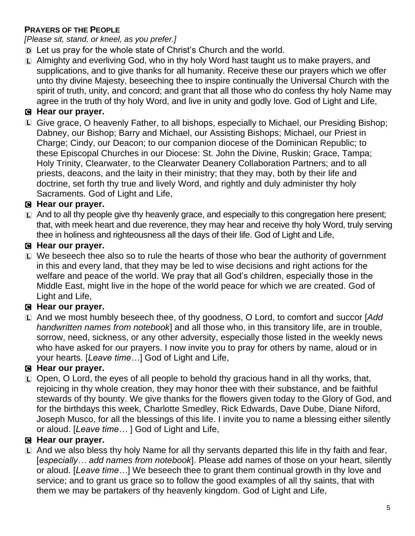### **PRAYERS OF THE PEOPLE**

*[Please sit, stand, or kneel, as you prefer.]*

- D Let us pray for the whole state of Christ's Church and the world.
- L Almighty and everliving God, who in thy holy Word hast taught us to make prayers, and supplications, and to give thanks for all humanity. Receive these our prayers which we offer unto thy divine Majesty, beseeching thee to inspire continually the Universal Church with the spirit of truth, unity, and concord; and grant that all those who do confess thy holy Name may agree in the truth of thy holy Word, and live in unity and godly love. God of Light and Life,

# C **Hear our prayer.**

L Give grace, O heavenly Father, to all bishops, especially to Michael, our Presiding Bishop; Dabney, our Bishop; Barry and Michael, our Assisting Bishops; Michael, our Priest in Charge; Cindy, our Deacon; to our companion diocese of the Dominican Republic; to these Episcopal Churches in our Diocese: St. John the Divine, Ruskin; Grace, Tampa; Holy Trinity, Clearwater, to the Clearwater Deanery Collaboration Partners; and to all priests, deacons, and the laity in their ministry; that they may, both by their life and doctrine, set forth thy true and lively Word, and rightly and duly administer thy holy Sacraments. God of Light and Life,

## C **Hear our prayer.**

 $\Box$  And to all thy people give thy heavenly grace, and especially to this congregation here present; that, with meek heart and due reverence, they may hear and receive thy holy Word, truly serving thee in holiness and righteousness all the days of their life. God of Light and Life,

## C **Hear our prayer.**

 $E$  We beseech thee also so to rule the hearts of those who bear the authority of government in this and every land, that they may be led to wise decisions and right actions for the welfare and peace of the world. We pray that all God's children, especially those in the Middle East, might live in the hope of the world peace for which we are created. God of Light and Life,

## C **Hear our prayer.**

L And we most humbly beseech thee, of thy goodness, O Lord, to comfort and succor [*Add handwritten names from notebook*] and all those who, in this transitory life, are in trouble, sorrow, need, sickness, or any other adversity, especially those listed in the weekly news who have asked for our prayers. I now invite you to pray for others by name, aloud or in your hearts. [*Leave time…*] God of Light and Life,

# C **Hear our prayer.**

L Open, O Lord, the eyes of all people to behold thy gracious hand in all thy works, that, rejoicing in thy whole creation, they may honor thee with their substance, and be faithful stewards of thy bounty. We give thanks for the flowers given today to the Glory of God, and for the birthdays this week, Charlotte Smedley, Rick Edwards, Dave Dube, Diane Niford, Joseph Musco, for all the blessings of this life. I invite you to name a blessing either silently or aloud. [*Leave time…* ] God of Light and Life,

## C **Hear our prayer.**

 $\Box$  And we also bless thy holy Name for all thy servants departed this life in thy faith and fear, [*especially… add names from notebook*]. Please add names of those on your heart, silently or aloud. [*Leave time…*] We beseech thee to grant them continual growth in thy love and service; and to grant us grace so to follow the good examples of all thy saints, that with them we may be partakers of thy heavenly kingdom. God of Light and Life,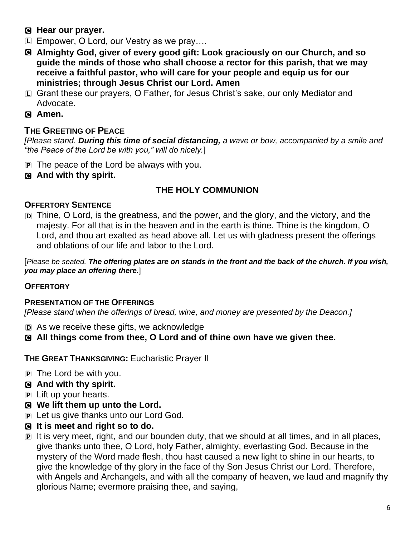- C **Hear our prayer.**
- L Empower, O Lord, our Vestry as we pray….
- C **Almighty God, giver of every good gift: Look graciously on our Church, and so guide the minds of those who shall choose a rector for this parish, that we may receive a faithful pastor, who will care for your people and equip us for our ministries; through Jesus Christ our Lord. Amen**
- L Grant these our prayers, O Father, for Jesus Christ's sake, our only Mediator and Advocate.
- C **Amen.**

#### **THE GREETING OF PEACE**

*[Please stand. During this time of social distancing, a wave or bow, accompanied by a smile and "the Peace of the Lord be with you," will do nicely.*]

- P The peace of the Lord be always with you.
- C **And with thy spirit.**

## **THE HOLY COMMUNION**

#### **OFFERTORY SENTENCE**

D Thine, O Lord, is the greatness, and the power, and the glory, and the victory, and the majesty. For all that is in the heaven and in the earth is thine. Thine is the kingdom, O Lord, and thou art exalted as head above all. Let us with gladness present the offerings and oblations of our life and labor to the Lord.

[*Please be seated. The offering plates are on stands in the front and the back of the church. If you wish, you may place an offering there.*]

#### **OFFERTORY**

#### **PRESENTATION OF THE OFFERINGS**

*[Please stand when the offerings of bread, wine, and money are presented by the Deacon.]*

- D As we receive these gifts, we acknowledge
- C **All things come from thee, O Lord and of thine own have we given thee.**

**THE GREAT THANKSGIVING:** Eucharistic Prayer II

- $\overline{p}$  The Lord be with you.
- C **And with thy spirit.**
- P Lift up your hearts.
- C **We lift them up unto the Lord.**
- P Let us give thanks unto our Lord God.
- C **It is meet and right so to do.**
- P It is very meet, right, and our bounden duty, that we should at all times, and in all places, give thanks unto thee, O Lord, holy Father, almighty, everlasting God. Because in the mystery of the Word made flesh, thou hast caused a new light to shine in our hearts, to give the knowledge of thy glory in the face of thy Son Jesus Christ our Lord. Therefore, with Angels and Archangels, and with all the company of heaven, we laud and magnify thy glorious Name; evermore praising thee, and saying,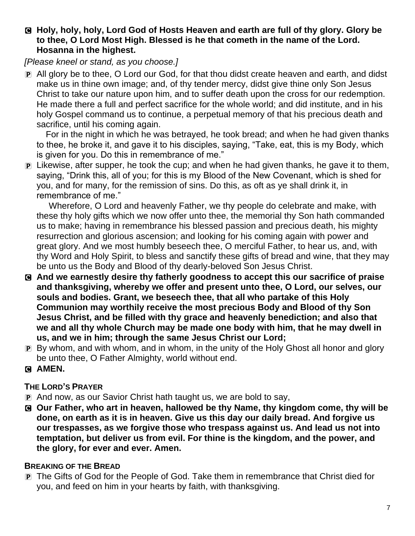#### C **Holy, holy, holy, Lord God of Hosts Heaven and earth are full of thy glory. Glory be to thee, O Lord Most High. Blessed is he that cometh in the name of the Lord. Hosanna in the highest.**

## *[Please kneel or stand, as you choose.]*

P All glory be to thee, O Lord our God, for that thou didst create heaven and earth, and didst make us in thine own image; and, of thy tender mercy, didst give thine only Son Jesus Christ to take our nature upon him, and to suffer death upon the cross for our redemption. He made there a full and perfect sacrifice for the whole world; and did institute, and in his holy Gospel command us to continue, a perpetual memory of that his precious death and sacrifice, until his coming again.

For in the night in which he was betrayed, he took bread; and when he had given thanks to thee, he broke it, and gave it to his disciples, saying, "Take, eat, this is my Body, which is given for you. Do this in remembrance of me."

P Likewise, after supper, he took the cup; and when he had given thanks, he gave it to them, saying, "Drink this, all of you; for this is my Blood of the New Covenant, which is shed for you, and for many, for the remission of sins. Do this, as oft as ye shall drink it, in remembrance of me."

Wherefore, O Lord and heavenly Father, we thy people do celebrate and make, with these thy holy gifts which we now offer unto thee, the memorial thy Son hath commanded us to make; having in remembrance his blessed passion and precious death, his mighty resurrection and glorious ascension; and looking for his coming again with power and great glory. And we most humbly beseech thee, O merciful Father, to hear us, and, with thy Word and Holy Spirit, to bless and sanctify these gifts of bread and wine, that they may be unto us the Body and Blood of thy dearly-beloved Son Jesus Christ.

- C **And we earnestly desire thy fatherly goodness to accept this our sacrifice of praise and thanksgiving, whereby we offer and present unto thee, O Lord, our selves, our souls and bodies. Grant, we beseech thee, that all who partake of this Holy Communion may worthily receive the most precious Body and Blood of thy Son Jesus Christ, and be filled with thy grace and heavenly benediction; and also that we and all thy whole Church may be made one body with him, that he may dwell in us, and we in him; through the same Jesus Christ our Lord;**
- P By whom, and with whom, and in whom, in the unity of the Holy Ghost all honor and glory be unto thee, O Father Almighty, world without end.
- C **AMEN.**

## **THE LORD'S PRAYER**

- P And now, as our Savior Christ hath taught us, we are bold to say,
- C **Our Father, who art in heaven, hallowed be thy Name, thy kingdom come, thy will be done, on earth as it is in heaven. Give us this day our daily bread. And forgive us our trespasses, as we forgive those who trespass against us. And lead us not into temptation, but deliver us from evil. For thine is the kingdom, and the power, and the glory, for ever and ever. Amen.**

## **BREAKING OF THE BREAD**

P The Gifts of God for the People of God. Take them in remembrance that Christ died for you, and feed on him in your hearts by faith, with thanksgiving.